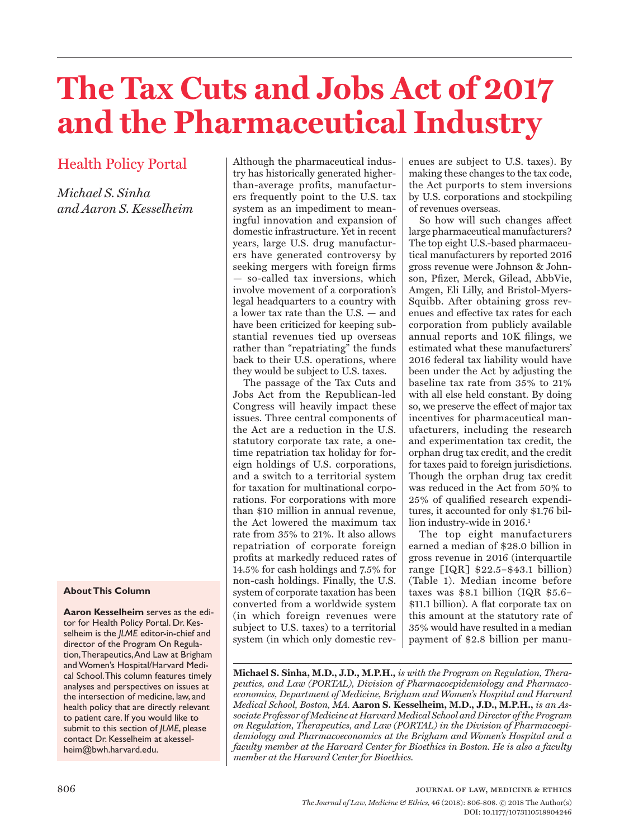# **The Tax Cuts and Jobs Act of 2017 and the Pharmaceutical Industry**

## Health Policy Portal

*Michael S. Sinha and Aaron S. Kesselheim*

### **About This Column**

**Aaron Kesselheim** serves as the editor for Health Policy Portal. Dr. Kesselheim is the *JLME* editor-in-chief and director of the Program On Regulation, Therapeutics, And Law at Brigham and Women's Hospital/Harvard Medical School. This column features timely analyses and perspectives on issues at the intersection of medicine, law, and health policy that are directly relevant to patient care. If you would like to submit to this section of *JLME*, please contact Dr. Kesselheim at akesselheim@bwh.harvard.edu.

Although the pharmaceutical industry has historically generated higherthan-average profits, manufacturers frequently point to the U.S. tax system as an impediment to meaningful innovation and expansion of domestic infrastructure. Yet in recent years, large U.S. drug manufacturers have generated controversy by seeking mergers with foreign firms — so-called tax inversions, which involve movement of a corporation's legal headquarters to a country with a lower tax rate than the U.S. — and have been criticized for keeping substantial revenues tied up overseas rather than "repatriating" the funds back to their U.S. operations, where they would be subject to U.S. taxes.

The passage of the Tax Cuts and Jobs Act from the Republican-led Congress will heavily impact these issues. Three central components of the Act are a reduction in the U.S. statutory corporate tax rate, a onetime repatriation tax holiday for foreign holdings of U.S. corporations, and a switch to a territorial system for taxation for multinational corporations. For corporations with more than \$10 million in annual revenue, the Act lowered the maximum tax rate from 35% to 21%. It also allows repatriation of corporate foreign profits at markedly reduced rates of 14.5% for cash holdings and 7.5% for non-cash holdings. Finally, the U.S. system of corporate taxation has been converted from a worldwide system (in which foreign revenues were subject to U.S. taxes) to a territorial system (in which only domestic revenues are subject to U.S. taxes). By making these changes to the tax code, the Act purports to stem inversions by U.S. corporations and stockpiling of revenues overseas.

So how will such changes affect large pharmaceutical manufacturers? The top eight U.S.-based pharmaceutical manufacturers by reported 2016 gross revenue were Johnson & Johnson, Pfizer, Merck, Gilead, AbbVie, Amgen, Eli Lilly, and Bristol-Myers-Squibb. After obtaining gross revenues and effective tax rates for each corporation from publicly available annual reports and 10K filings, we estimated what these manufacturers' 2016 federal tax liability would have been under the Act by adjusting the baseline tax rate from 35% to 21% with all else held constant. By doing so, we preserve the effect of major tax incentives for pharmaceutical manufacturers, including the research and experimentation tax credit, the orphan drug tax credit, and the credit for taxes paid to foreign jurisdictions. Though the orphan drug tax credit was reduced in the Act from 50% to 25% of qualified research expenditures, it accounted for only \$1.76 billion industry-wide in 2016.<sup>1</sup>

The top eight manufacturers earned a median of \$28.0 billion in gross revenue in 2016 (interquartile range [IQR] \$22.5–\$43.1 billion) (Table 1). Median income before taxes was \$8.1 billion (IQR \$5.6– \$11.1 billion). A flat corporate tax on this amount at the statutory rate of 35% would have resulted in a median payment of \$2.8 billion per manu-

**Michael S. Sinha, M.D., J.D., M.P.H.,** *is with the Program on Regulation, Therapeutics, and Law (PORTAL), Division of Pharmacoepidemiology and Pharmacoeconomics, Department of Medicine, Brigham and Women's Hospital and Harvard Medical School, Boston, MA.* **Aaron S. Kesselheim, M.D., J.D., M.P.H.,** *is an Associate Professor of Medicine at Harvard Medical School and Director of the Program on Regulation, Therapeutics, and Law (PORTAL) in the Division of Pharmacoepidemiology and Pharmacoeconomics at the Brigham and Women's Hospital and a faculty member at the Harvard Center for Bioethics in Boston. He is also a faculty member at the Harvard Center for Bioethics.*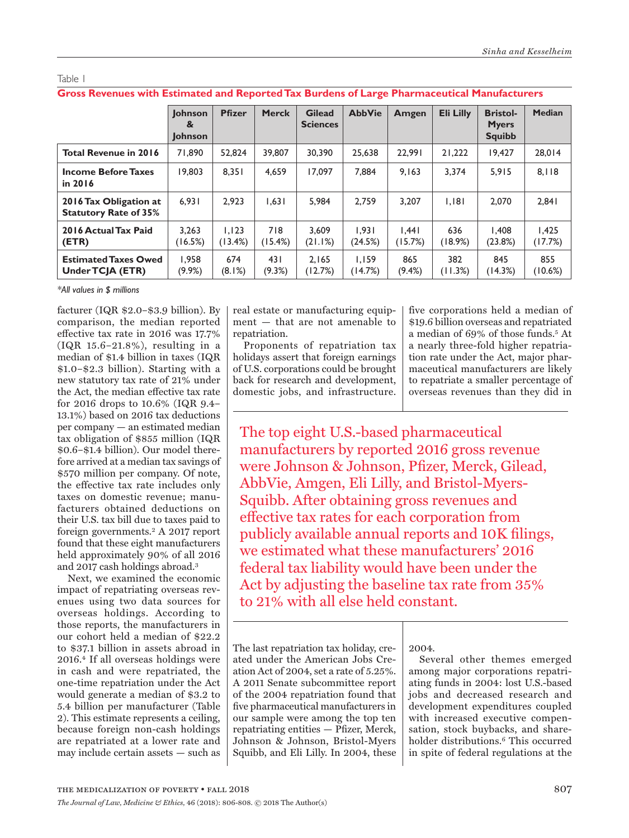|                                                        | Johnson<br>$\mathbf{g}$<br>Johnson | <b>Pfizer</b>     | <b>Merck</b>   | <b>Gilead</b><br><b>Sciences</b> | <b>AbbVie</b>    | <b>Amgen</b>     | <b>Eli Lilly</b> | <b>Bristol-</b><br><b>Myers</b><br><b>Squibb</b> | <b>Median</b>    |
|--------------------------------------------------------|------------------------------------|-------------------|----------------|----------------------------------|------------------|------------------|------------------|--------------------------------------------------|------------------|
| <b>Total Revenue in 2016</b>                           | 71.890                             | 52.824            | 39,807         | 30.390                           | 25.638           | 22.991           | 21,222           | 19,427                                           | 28,014           |
| <b>Income Before Taxes</b><br>in 2016                  | 19.803                             | 8,351             | 4,659          | 17.097                           | 7.884            | 9,163            | 3.374            | 5,915                                            | 8.118            |
| 2016 Tax Obligation at<br><b>Statutory Rate of 35%</b> | 6.931                              | 2.923             | 1.631          | 5.984                            | 2.759            | 3.207            | 1.181            | 2.070                                            | 2,841            |
| 2016 Actual Tax Paid<br>(ETR)                          | 3.263<br>(16.5%)                   | 1.123<br>$13.4\%$ | 718<br>(15.4%) | 3.609<br>(21.1%)                 | 1.931<br>(24.5%) | 1.441<br>(15.7%) | 636<br>(18.9%)   | 1.408<br>(23.8%)                                 | 1,425<br>(17.7%) |
| <b>Estimated Taxes Owed</b><br>Under TCJA (ETR)        | 1.958<br>$(9.9\%)$                 | 674<br>(8.1%)     | 431<br>(9.3%)  | 2.165<br>(12.7%)                 | 1.159<br>(14.7%) | 865<br>$(9.4\%)$ | 382<br>(11.3%)   | 845<br>(14.3%)                                   | 855<br>(10.6%)   |

Table 1 **Gross Revenues with Estimated and Reported Tax Burdens of Large Pharmaceutical Manufacturers**

*\*All values in \$ millions*

facturer (IQR \$2.0–\$3.9 billion). By comparison, the median reported effective tax rate in 2016 was 17.7% (IQR 15.6–21.8%), resulting in a median of \$1.4 billion in taxes (IQR \$1.0–\$2.3 billion). Starting with a new statutory tax rate of 21% under the Act, the median effective tax rate for 2016 drops to 10.6% (IQR 9.4– 13.1%) based on 2016 tax deductions per company — an estimated median tax obligation of \$855 million (IQR \$0.6–\$1.4 billion). Our model therefore arrived at a median tax savings of \$570 million per company. Of note, the effective tax rate includes only taxes on domestic revenue; manufacturers obtained deductions on their U.S. tax bill due to taxes paid to foreign governments.2 A 2017 report found that these eight manufacturers held approximately 90% of all 2016 and 2017 cash holdings abroad.3

Next, we examined the economic impact of repatriating overseas revenues using two data sources for overseas holdings. According to those reports, the manufacturers in our cohort held a median of \$22.2 to \$37.1 billion in assets abroad in 2016.4 If all overseas holdings were in cash and were repatriated, the one-time repatriation under the Act would generate a median of \$3.2 to 5.4 billion per manufacturer (Table 2). This estimate represents a ceiling, because foreign non-cash holdings are repatriated at a lower rate and may include certain assets — such as

real estate or manufacturing equipment — that are not amenable to repatriation.

Proponents of repatriation tax holidays assert that foreign earnings of U.S. corporations could be brought back for research and development, domestic jobs, and infrastructure. five corporations held a median of \$19.6 billion overseas and repatriated a median of 69% of those funds.5 At a nearly three-fold higher repatriation rate under the Act, major pharmaceutical manufacturers are likely to repatriate a smaller percentage of overseas revenues than they did in

The top eight U.S.-based pharmaceutical manufacturers by reported 2016 gross revenue were Johnson & Johnson, Pfizer, Merck, Gilead, AbbVie, Amgen, Eli Lilly, and Bristol-Myers-Squibb. After obtaining gross revenues and effective tax rates for each corporation from publicly available annual reports and 10K filings, we estimated what these manufacturers' 2016 federal tax liability would have been under the Act by adjusting the baseline tax rate from 35% to 21% with all else held constant.

The last repatriation tax holiday, created under the American Jobs Creation Act of 2004, set a rate of 5.25%. A 2011 Senate subcommittee report of the 2004 repatriation found that five pharmaceutical manufacturers in our sample were among the top ten repatriating entities — Pfizer, Merck, Johnson & Johnson, Bristol-Myers Squibb, and Eli Lilly. In 2004, these 2004.

Several other themes emerged among major corporations repatriating funds in 2004: lost U.S.-based jobs and decreased research and development expenditures coupled with increased executive compensation, stock buybacks, and shareholder distributions.<sup>6</sup> This occurred in spite of federal regulations at the